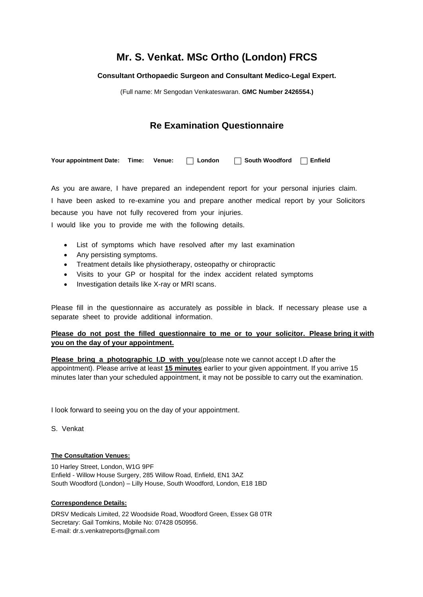# **Mr. S. Venkat. MSc Ortho (London) FRCS**

## **Consultant Orthopaedic Surgeon and Consultant Medico-Legal Expert.**

(Full name: Mr Sengodan Venkateswaran. **GMC Number 2426554.)**

## **Re Examination Questionnaire**

Your appointment Date: Time: Venue: **Act Traveling Contains 1 South Woodford** The Finfield

As you are aware, I have prepared an independent report for your personal injuries claim. I have been asked to re-examine you and prepare another medical report by your Solicitors because you have not fully recovered from your injuries.

I would like you to provide me with the following details.

- List of symptoms which have resolved after my last examination
- Any persisting symptoms.
- Treatment details like physiotherapy, osteopathy or chiropractic
- Visits to your GP or hospital for the index accident related symptoms
- Investigation details like X-ray or MRI scans.

Please fill in the questionnaire as accurately as possible in black. If necessary please use a separate sheet to provide additional information.

## **Please do not post the filled questionnaire to me or to your solicitor. Please bring it with you on the day of your appointment.**

**Please bring a photographic I.D with you**(please note we cannot accept I.D after the appointment). Please arrive at least **15 minutes** earlier to your given appointment. If you arrive 15 minutes later than your scheduled appointment, it may not be possible to carry out the examination.

I look forward to seeing you on the day of your appointment.

S. Venkat

### **The Consultation Venues:**

10 Harley Street, London, W1G 9PF Enfield - Willow House Surgery, 285 Willow Road, Enfield, EN1 3AZ South Woodford (London) – Lilly House, South Woodford, London, E18 1BD

#### **Correspondence Details:**

DRSV Medicals Limited, 22 Woodside Road, Woodford Green, Essex G8 0TR Secretary: Gail Tomkins, Mobile No: 07428 050956. E-mail: dr.s.venkatreports@gmail.com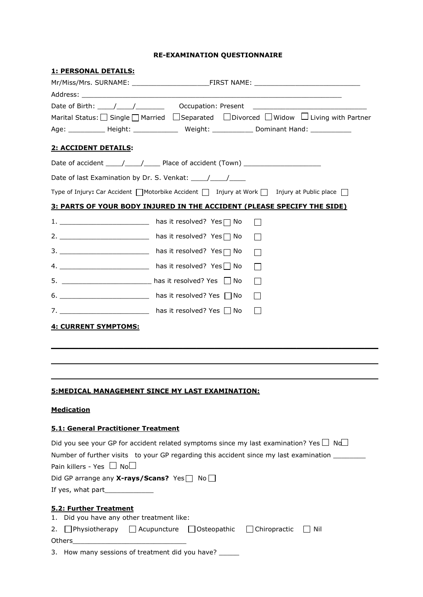## **RE-EXAMINATION QUESTIONNAIRE**

| <u>1: PERSONAL DETAILS:</u>                                  |                                                                                                                               |
|--------------------------------------------------------------|-------------------------------------------------------------------------------------------------------------------------------|
|                                                              |                                                                                                                               |
|                                                              |                                                                                                                               |
|                                                              |                                                                                                                               |
|                                                              | Marital Status: Single   Married Separated DDivorced DWidow DLiving with Partner                                              |
|                                                              | Age: _____________ Height: ________________ Weight: ______________ Dominant Hand: _____________                               |
| 2: ACCIDENT DETAILS:                                         |                                                                                                                               |
|                                                              |                                                                                                                               |
|                                                              |                                                                                                                               |
|                                                              | Type of Injury: Car Accident $\bigcap$ Motorbike Accident $\bigcap$ Injury at Work $\bigcap$ Injury at Public place $\bigcap$ |
|                                                              | <u>3: PARTS OF YOUR BODY INJURED IN THE ACCIDENT (PLEASE SPECIFY THE SIDE)</u>                                                |
|                                                              | 1. ________________________________ has it resolved? Yes □ No                                                                 |
|                                                              | 2. ___________________________ has it resolved? Yes□ No                                                                       |
|                                                              | $\mathbf{L}$                                                                                                                  |
|                                                              | 4. ________________________________ has it resolved? Yes   No                                                                 |
|                                                              | 5. __________________________ has it resolved? Yes □ No<br>$\mathbf{I}$                                                       |
|                                                              | 6. ________________________________ has it resolved? Yes □ No<br>$\mathbf{L}$                                                 |
|                                                              | 7. ________________________________ has it resolved? Yes □ No                                                                 |
| <b>4: CURRENT SYMPTOMS:</b>                                  |                                                                                                                               |
|                                                              |                                                                                                                               |
|                                                              |                                                                                                                               |
|                                                              |                                                                                                                               |
|                                                              |                                                                                                                               |
|                                                              | <u>5:MEDICAL MANAGEMENT SINCE MY LAST EXAMINATION:</u>                                                                        |
|                                                              |                                                                                                                               |
| <b>Medication</b>                                            |                                                                                                                               |
| 5.1: General Practitioner Treatment                          |                                                                                                                               |
|                                                              | Did you see your GP for accident related symptoms since my last examination? Yes $\Box$ Nd $\Box$                             |
|                                                              | Number of further visits to your GP regarding this accident since my last examination ________                                |
| Pain killers - Yes $\Box$ No $\Box$                          |                                                                                                                               |
| Did GP arrange any <b>X-rays/Scans?</b> Yes $\Box$ No $\Box$ |                                                                                                                               |
|                                                              |                                                                                                                               |
| 5.2: Further Treatment                                       |                                                                                                                               |
| 1. Did you have any other treatment like:                    |                                                                                                                               |
| 2.                                                           | $\Box$ Physiotherapy $\Box$ Acupuncture $\Box$ Osteopathic $\Box$ Chiropractic<br>    Nil                                     |
|                                                              |                                                                                                                               |
|                                                              | 3. How many sessions of treatment did you have? _____                                                                         |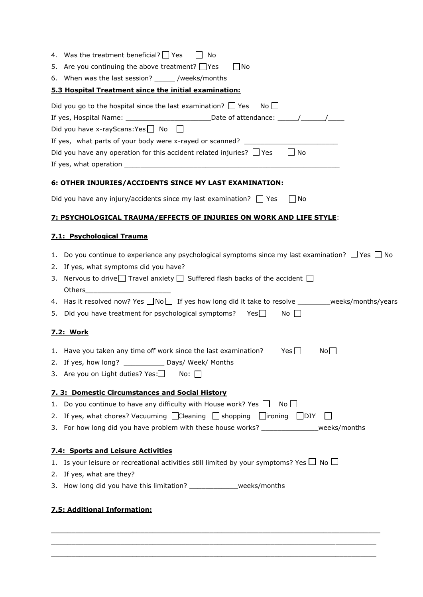| 4. Was the treatment beneficial? $\Box$ Yes<br>No                                                              |
|----------------------------------------------------------------------------------------------------------------|
| 5. Are you continuing the above treatment? Thes<br>  No                                                        |
| 6. When was the last session? _______ /weeks/months                                                            |
| 5.3 Hospital Treatment since the initial examination:                                                          |
| Did you go to the hospital since the last examination? $\Box$ Yes<br>Noll                                      |
| If yes, Hospital Name: __________________________________Date of attendance: ______/_______/_______            |
| Did you have x-rayScans: Yes $\Box$ No $\Box$                                                                  |
| If yes, what parts of your body were x-rayed or scanned? _______________________                               |
| Did you have any operation for this accident related injuries? $\Box$ Yes<br>$\Box$ No                         |
|                                                                                                                |
| 6: OTHER INJURIES/ACCIDENTS SINCE MY LAST EXAMINATION:                                                         |
| Did you have any injury/accidents since my last examination? $\Box$ Yes<br>l INo                               |
| <b>7: PSYCHOLOGICAL TRAUMA/EFFECTS OF INJURIES ON WORK AND LIFE STYLE:</b>                                     |
| 7.1: Psychological Trauma                                                                                      |
| 1. Do you continue to experience any psychological symptoms since my last examination? $\Box$ Yes $\Box$ No    |
| 2. If yes, what symptoms did you have?                                                                         |
| 3. Nervous to drive $\Box$ Travel anxiety $\Box$ Suffered flash backs of the accident $\Box$                   |
|                                                                                                                |
| 4. Has it resolved now? Yes $\Box$ No $\Box$ If yes how long did it take to resolve ________weeks/months/years |
| 5. Did you have treatment for psychological symptoms? Yes□<br>No                                               |
| <u>7.2: Work</u>                                                                                               |
| 1. Have you taken any time off work since the last examination?<br>Yes $\Box$<br>No                            |
| 2. If yes, how long? _______________ Days/ Week/ Months                                                        |
| 3. Are you on Light duties? Yes:<br>No: II                                                                     |
| 7. 3: Domestic Circumstances and Social History                                                                |
| 1. Do you continue to have any difficulty with House work? Yes $\Box$ No $\Box$                                |
| 2. If yes, what chores? Vacuuming $\Box$ Cleaning $\Box$ shopping $\Box$ lironing $\Box$ DIY                   |
| 3. For how long did you have problem with these house works? ______________weeks/months                        |
| <b>7.4: Sports and Leisure Activities</b>                                                                      |
| 1. Is your leisure or recreational activities still limited by your symptoms? Yes $\Box$ No $\Box$             |
| 2. If yes, what are they?                                                                                      |
| 3. How long did you have this limitation? _______________weeks/months                                          |
| 7.5: Additional Information:                                                                                   |

 $\_$  . The contribution of the contribution of the contribution of the contribution of the contribution of the contribution of  $\mathcal{L}_\text{max}$  $\_$  . The contribution of the contribution of the contribution of the contribution of the contribution of the contribution of  $\mathcal{L}_\text{max}$ \_\_\_\_\_\_\_\_\_\_\_\_\_\_\_\_\_\_\_\_\_\_\_\_\_\_\_\_\_\_\_\_\_\_\_\_\_\_\_\_\_\_\_\_\_\_\_\_\_\_\_\_\_\_\_\_\_\_\_\_\_\_\_\_\_\_\_\_\_\_\_\_\_\_\_\_\_\_\_\_